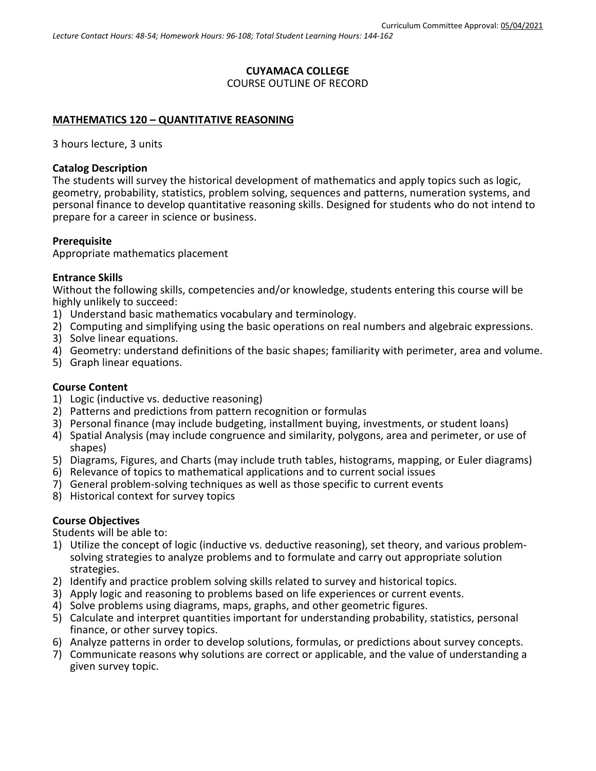# **CUYAMACA COLLEGE** COURSE OUTLINE OF RECORD

### **MATHEMATICS 120 – QUANTITATIVE REASONING**

3 hours lecture, 3 units

#### **Catalog Description**

The students will survey the historical development of mathematics and apply topics such as logic, geometry, probability, statistics, problem solving, sequences and patterns, numeration systems, and personal finance to develop quantitative reasoning skills. Designed for students who do not intend to prepare for a career in science or business.

#### **Prerequisite**

Appropriate mathematics placement

#### **Entrance Skills**

Without the following skills, competencies and/or knowledge, students entering this course will be highly unlikely to succeed:

- 1) Understand basic mathematics vocabulary and terminology.
- 2) Computing and simplifying using the basic operations on real numbers and algebraic expressions.
- 3) Solve linear equations.
- 4) Geometry: understand definitions of the basic shapes; familiarity with perimeter, area and volume.
- 5) Graph linear equations.

#### **Course Content**

- 1) Logic (inductive vs. deductive reasoning)
- 2) Patterns and predictions from pattern recognition or formulas
- 3) Personal finance (may include budgeting, installment buying, investments, or student loans)
- 4) Spatial Analysis (may include congruence and similarity, polygons, area and perimeter, or use of shapes)
- 5) Diagrams, Figures, and Charts (may include truth tables, histograms, mapping, or Euler diagrams)
- 6) Relevance of topics to mathematical applications and to current social issues
- 7) General problem-solving techniques as well as those specific to current events
- 8) Historical context for survey topics

#### **Course Objectives**

Students will be able to:

- 1) Utilize the concept of logic (inductive vs. deductive reasoning), set theory, and various problemsolving strategies to analyze problems and to formulate and carry out appropriate solution strategies.
- 2) Identify and practice problem solving skills related to survey and historical topics.
- 3) Apply logic and reasoning to problems based on life experiences or current events.
- 4) Solve problems using diagrams, maps, graphs, and other geometric figures.
- 5) Calculate and interpret quantities important for understanding probability, statistics, personal finance, or other survey topics.
- 6) Analyze patterns in order to develop solutions, formulas, or predictions about survey concepts.
- 7) Communicate reasons why solutions are correct or applicable, and the value of understanding a given survey topic.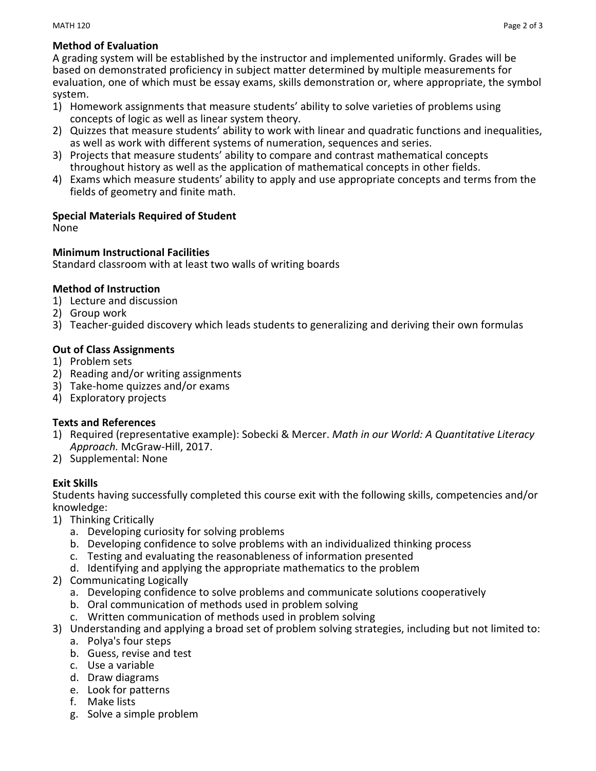#### MATH 120  $\blacksquare$

# **Method of Evaluation**

A grading system will be established by the instructor and implemented uniformly. Grades will be based on demonstrated proficiency in subject matter determined by multiple measurements for evaluation, one of which must be essay exams, skills demonstration or, where appropriate, the symbol system.

- 1) Homework assignments that measure students' ability to solve varieties of problems using concepts of logic as well as linear system theory.
- 2) Quizzes that measure students' ability to work with linear and quadratic functions and inequalities, as well as work with different systems of numeration, sequences and series.
- 3) Projects that measure students' ability to compare and contrast mathematical concepts throughout history as well as the application of mathematical concepts in other fields.
- 4) Exams which measure students' ability to apply and use appropriate concepts and terms from the fields of geometry and finite math.

# **Special Materials Required of Student**

None

# **Minimum Instructional Facilities**

Standard classroom with at least two walls of writing boards

# **Method of Instruction**

- 1) Lecture and discussion
- 2) Group work
- 3) Teacher-guided discovery which leads students to generalizing and deriving their own formulas

# **Out of Class Assignments**

- 1) Problem sets
- 2) Reading and/or writing assignments
- 3) Take-home quizzes and/or exams
- 4) Exploratory projects

### **Texts and References**

- 1) Required (representative example): Sobecki & Mercer. *Math in our World: A Quantitative Literacy Approach.* McGraw-Hill, 2017.
- 2) Supplemental: None

# **Exit Skills**

Students having successfully completed this course exit with the following skills, competencies and/or knowledge:

- 1) Thinking Critically
	- a. Developing curiosity for solving problems
	- b. Developing confidence to solve problems with an individualized thinking process
	- c. Testing and evaluating the reasonableness of information presented
	- d. Identifying and applying the appropriate mathematics to the problem
- 2) Communicating Logically
	- a. Developing confidence to solve problems and communicate solutions cooperatively
	- b. Oral communication of methods used in problem solving
	- c. Written communication of methods used in problem solving
- 3) Understanding and applying a broad set of problem solving strategies, including but not limited to:
	- a. Polya's four steps
	- b. Guess, revise and test
	- c. Use a variable
	- d. Draw diagrams
	- e. Look for patterns
	- f. Make lists
	- g. Solve a simple problem